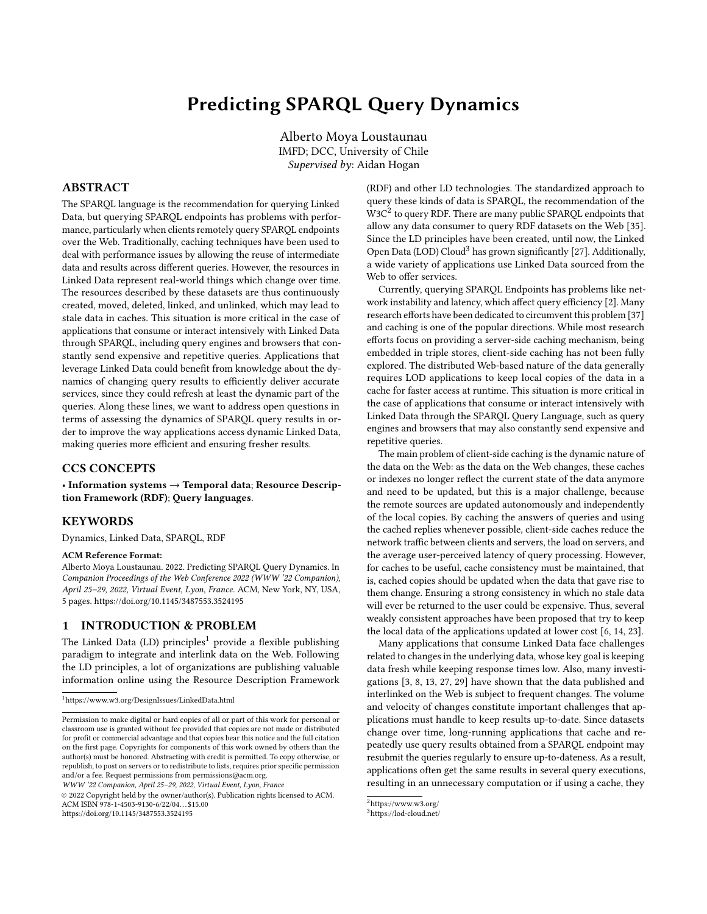# Predicting SPARQL Query Dynamics

Alberto Moya Loustaunau IMFD; DCC, University of Chile Supervised by: Aidan Hogan

## ABSTRACT

The SPARQL language is the recommendation for querying Linked Data, but querying SPARQL endpoints has problems with performance, particularly when clients remotely query SPARQL endpoints over the Web. Traditionally, caching techniques have been used to deal with performance issues by allowing the reuse of intermediate data and results across different queries. However, the resources in Linked Data represent real-world things which change over time. The resources described by these datasets are thus continuously created, moved, deleted, linked, and unlinked, which may lead to stale data in caches. This situation is more critical in the case of applications that consume or interact intensively with Linked Data through SPARQL, including query engines and browsers that constantly send expensive and repetitive queries. Applications that leverage Linked Data could benefit from knowledge about the dynamics of changing query results to efficiently deliver accurate services, since they could refresh at least the dynamic part of the queries. Along these lines, we want to address open questions in terms of assessing the dynamics of SPARQL query results in order to improve the way applications access dynamic Linked Data, making queries more efficient and ensuring fresher results.

#### CCS CONCEPTS

• Information systems → Temporal data; Resource Description Framework (RDF); Query languages.

## **KEYWORDS**

Dynamics, Linked Data, SPARQL, RDF

#### ACM Reference Format:

Alberto Moya Loustaunau. 2022. Predicting SPARQL Query Dynamics. In Companion Proceedings of the Web Conference 2022 (WWW '22 Companion), April 25–29, 2022, Virtual Event, Lyon, France. ACM, New York, NY, USA, [5](#page-4-0) pages.<https://doi.org/10.1145/3487553.3524195>

## 1 INTRODUCTION & PROBLEM

The Linked Data (LD) principles<sup>[1](#page-0-0)</sup> provide a flexible publishing paradigm to integrate and interlink data on the Web. Following the LD principles, a lot of organizations are publishing valuable information online using the Resource Description Framework

WWW '22 Companion, April 25–29, 2022, Virtual Event, Lyon, France

© 2022 Copyright held by the owner/author(s). Publication rights licensed to ACM. ACM ISBN 978-1-4503-9130-6/22/04. . . \$15.00 <https://doi.org/10.1145/3487553.3524195>

(RDF) and other LD technologies. The standardized approach to query these kinds of data is SPARQL, the recommendation of the  $W3C<sup>2</sup>$  $W3C<sup>2</sup>$  $W3C<sup>2</sup>$  to query RDF. There are many public SPARQL endpoints that allow any data consumer to query RDF datasets on the Web [\[35\]](#page-4-1). Since the LD principles have been created, until now, the Linked Open Data (LOD) Cloud[3](#page-0-2) has grown significantly [\[27\]](#page-4-2). Additionally, a wide variety of applications use Linked Data sourced from the Web to offer services.

Currently, querying SPARQL Endpoints has problems like network instability and latency, which affect query efficiency [\[2\]](#page-4-3). Many research efforts have been dedicated to circumvent this problem [\[37\]](#page-4-4) and caching is one of the popular directions. While most research efforts focus on providing a server-side caching mechanism, being embedded in triple stores, client-side caching has not been fully explored. The distributed Web-based nature of the data generally requires LOD applications to keep local copies of the data in a cache for faster access at runtime. This situation is more critical in the case of applications that consume or interact intensively with Linked Data through the SPARQL Query Language, such as query engines and browsers that may also constantly send expensive and repetitive queries.

The main problem of client-side caching is the dynamic nature of the data on the Web: as the data on the Web changes, these caches or indexes no longer reflect the current state of the data anymore and need to be updated, but this is a major challenge, because the remote sources are updated autonomously and independently of the local copies. By caching the answers of queries and using the cached replies whenever possible, client-side caches reduce the network traffic between clients and servers, the load on servers, and the average user-perceived latency of query processing. However, for caches to be useful, cache consistency must be maintained, that is, cached copies should be updated when the data that gave rise to them change. Ensuring a strong consistency in which no stale data will ever be returned to the user could be expensive. Thus, several weakly consistent approaches have been proposed that try to keep the local data of the applications updated at lower cost [\[6,](#page-4-5) [14,](#page-4-6) [23\]](#page-4-7).

Many applications that consume Linked Data face challenges related to changes in the underlying data, whose key goal is keeping data fresh while keeping response times low. Also, many investigations [\[3,](#page-4-8) [8,](#page-4-9) [13,](#page-4-10) [27,](#page-4-2) [29\]](#page-4-11) have shown that the data published and interlinked on the Web is subject to frequent changes. The volume and velocity of changes constitute important challenges that applications must handle to keep results up-to-date. Since datasets change over time, long-running applications that cache and repeatedly use query results obtained from a SPARQL endpoint may resubmit the queries regularly to ensure up-to-dateness. As a result, applications often get the same results in several query executions, resulting in an unnecessary computation or if using a cache, they

<span id="page-0-0"></span> $^1$ https://www.w3.org/DesignIssues/LinkedData.html

Permission to make digital or hard copies of all or part of this work for personal or classroom use is granted without fee provided that copies are not made or distributed for profit or commercial advantage and that copies bear this notice and the full citation on the first page. Copyrights for components of this work owned by others than the author(s) must be honored. Abstracting with credit is permitted. To copy otherwise, or republish, to post on servers or to redistribute to lists, requires prior specific permission and/or a fee. Request permissions from permissions@acm.org.

<span id="page-0-1"></span> $2$ https://www.w3.org/

<span id="page-0-2"></span><sup>3</sup>https://lod-cloud.net/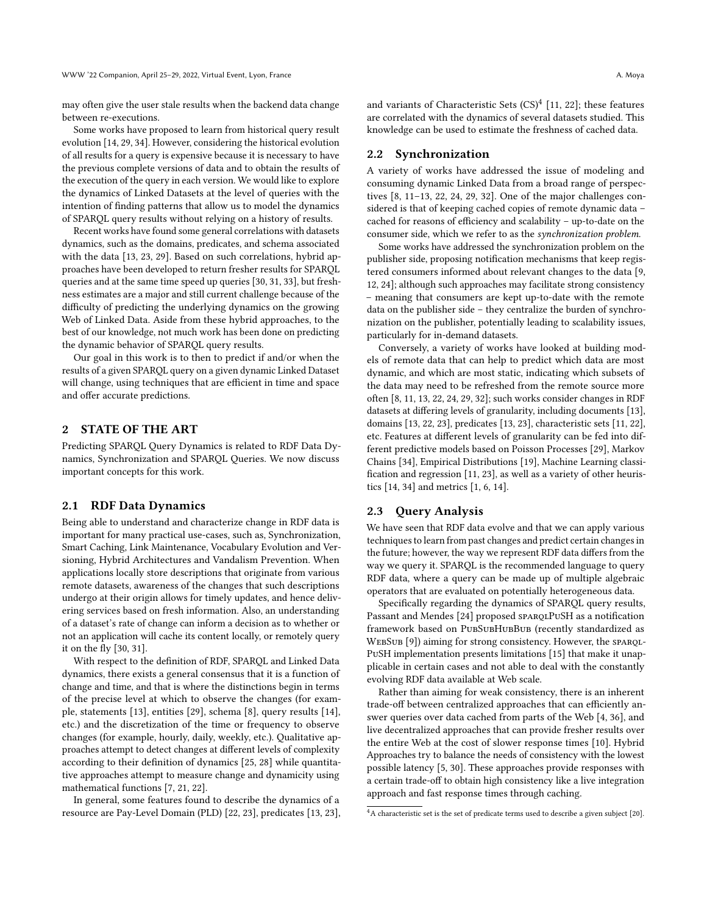may often give the user stale results when the backend data change between re-executions.

Some works have proposed to learn from historical query result evolution [\[14,](#page-4-6) [29,](#page-4-11) [34\]](#page-4-12). However, considering the historical evolution of all results for a query is expensive because it is necessary to have the previous complete versions of data and to obtain the results of the execution of the query in each version. We would like to explore the dynamics of Linked Datasets at the level of queries with the intention of finding patterns that allow us to model the dynamics of SPARQL query results without relying on a history of results.

Recent works have found some general correlations with datasets dynamics, such as the domains, predicates, and schema associated with the data [\[13,](#page-4-10) [23,](#page-4-7) [29\]](#page-4-11). Based on such correlations, hybrid approaches have been developed to return fresher results for SPARQL queries and at the same time speed up queries [\[30,](#page-4-13) [31,](#page-4-14) [33\]](#page-4-15), but freshness estimates are a major and still current challenge because of the difficulty of predicting the underlying dynamics on the growing Web of Linked Data. Aside from these hybrid approaches, to the best of our knowledge, not much work has been done on predicting the dynamic behavior of SPARQL query results.

Our goal in this work is to then to predict if and/or when the results of a given SPARQL query on a given dynamic Linked Dataset will change, using techniques that are efficient in time and space and offer accurate predictions.

#### 2 STATE OF THE ART

Predicting SPARQL Query Dynamics is related to RDF Data Dynamics, Synchronization and SPARQL Queries. We now discuss important concepts for this work.

#### 2.1 RDF Data Dynamics

Being able to understand and characterize change in RDF data is important for many practical use-cases, such as, Synchronization, Smart Caching, Link Maintenance, Vocabulary Evolution and Versioning, Hybrid Architectures and Vandalism Prevention. When applications locally store descriptions that originate from various remote datasets, awareness of the changes that such descriptions undergo at their origin allows for timely updates, and hence delivering services based on fresh information. Also, an understanding of a dataset's rate of change can inform a decision as to whether or not an application will cache its content locally, or remotely query it on the fly [\[30,](#page-4-13) [31\]](#page-4-14).

With respect to the definition of RDF, SPARQL and Linked Data dynamics, there exists a general consensus that it is a function of change and time, and that is where the distinctions begin in terms of the precise level at which to observe the changes (for example, statements [\[13\]](#page-4-10), entities [\[29\]](#page-4-11), schema [\[8\]](#page-4-9), query results [\[14\]](#page-4-6), etc.) and the discretization of the time or frequency to observe changes (for example, hourly, daily, weekly, etc.). Qualitative approaches attempt to detect changes at different levels of complexity according to their definition of dynamics [\[25,](#page-4-16) [28\]](#page-4-17) while quantitative approaches attempt to measure change and dynamicity using mathematical functions [\[7,](#page-4-18) [21,](#page-4-19) [22\]](#page-4-20).

In general, some features found to describe the dynamics of a resource are Pay-Level Domain (PLD) [\[22,](#page-4-20) [23\]](#page-4-7), predicates [\[13,](#page-4-10) [23\]](#page-4-7),

and variants of Characteristic Sets  $(CS)^4$  $(CS)^4$  [\[11,](#page-4-21) [22\]](#page-4-20); these features are correlated with the dynamics of several datasets studied. This knowledge can be used to estimate the freshness of cached data.

#### 2.2 Synchronization

A variety of works have addressed the issue of modeling and consuming dynamic Linked Data from a broad range of perspectives [\[8,](#page-4-9) [11–](#page-4-21)[13,](#page-4-10) [22,](#page-4-20) [24,](#page-4-22) [29,](#page-4-11) [32\]](#page-4-23). One of the major challenges considered is that of keeping cached copies of remote dynamic data – cached for reasons of efficiency and scalability – up-to-date on the consumer side, which we refer to as the synchronization problem.

Some works have addressed the synchronization problem on the publisher side, proposing notification mechanisms that keep registered consumers informed about relevant changes to the data [\[9,](#page-4-24) [12,](#page-4-25) [24\]](#page-4-22); although such approaches may facilitate strong consistency – meaning that consumers are kept up-to-date with the remote data on the publisher side – they centralize the burden of synchronization on the publisher, potentially leading to scalability issues, particularly for in-demand datasets.

Conversely, a variety of works have looked at building models of remote data that can help to predict which data are most dynamic, and which are most static, indicating which subsets of the data may need to be refreshed from the remote source more often [\[8,](#page-4-9) [11,](#page-4-21) [13,](#page-4-10) [22,](#page-4-20) [24,](#page-4-22) [29,](#page-4-11) [32\]](#page-4-23); such works consider changes in RDF datasets at differing levels of granularity, including documents [\[13\]](#page-4-10), domains [\[13,](#page-4-10) [22,](#page-4-20) [23\]](#page-4-7), predicates [\[13,](#page-4-10) [23\]](#page-4-7), characteristic sets [\[11,](#page-4-21) [22\]](#page-4-20), etc. Features at different levels of granularity can be fed into different predictive models based on Poisson Processes [\[29\]](#page-4-11), Markov Chains [\[34\]](#page-4-12), Empirical Distributions [\[19\]](#page-4-26), Machine Learning classification and regression [\[11,](#page-4-21) [23\]](#page-4-7), as well as a variety of other heuristics [\[14,](#page-4-6) [34\]](#page-4-12) and metrics [\[1,](#page-4-27) [6,](#page-4-5) [14\]](#page-4-6).

#### 2.3 Query Analysis

We have seen that RDF data evolve and that we can apply various techniques to learn from past changes and predict certain changes in the future; however, the way we represent RDF data differs from the way we query it. SPARQL is the recommended language to query RDF data, where a query can be made up of multiple algebraic operators that are evaluated on potentially heterogeneous data.

Specifically regarding the dynamics of SPARQL query results, Passant and Mendes [\[24\]](#page-4-22) proposed sparquPuSH as a notification framework based on PUBSUBHUBBUB (recently standardized as WEBSUB [\[9\]](#page-4-24)) aiming for strong consistency. However, the SPARQL-PuSH implementation presents limitations [\[15\]](#page-4-28) that make it unapplicable in certain cases and not able to deal with the constantly evolving RDF data available at Web scale.

Rather than aiming for weak consistency, there is an inherent trade-off between centralized approaches that can efficiently answer queries over data cached from parts of the Web [\[4,](#page-4-29) [36\]](#page-4-30), and live decentralized approaches that can provide fresher results over the entire Web at the cost of slower response times [\[10\]](#page-4-31). Hybrid Approaches try to balance the needs of consistency with the lowest possible latency [\[5,](#page-4-32) [30\]](#page-4-13). These approaches provide responses with a certain trade-off to obtain high consistency like a live integration approach and fast response times through caching.

<span id="page-1-0"></span><sup>4</sup>A characteristic set is the set of predicate terms used to describe a given subject [\[20\]](#page-4-33).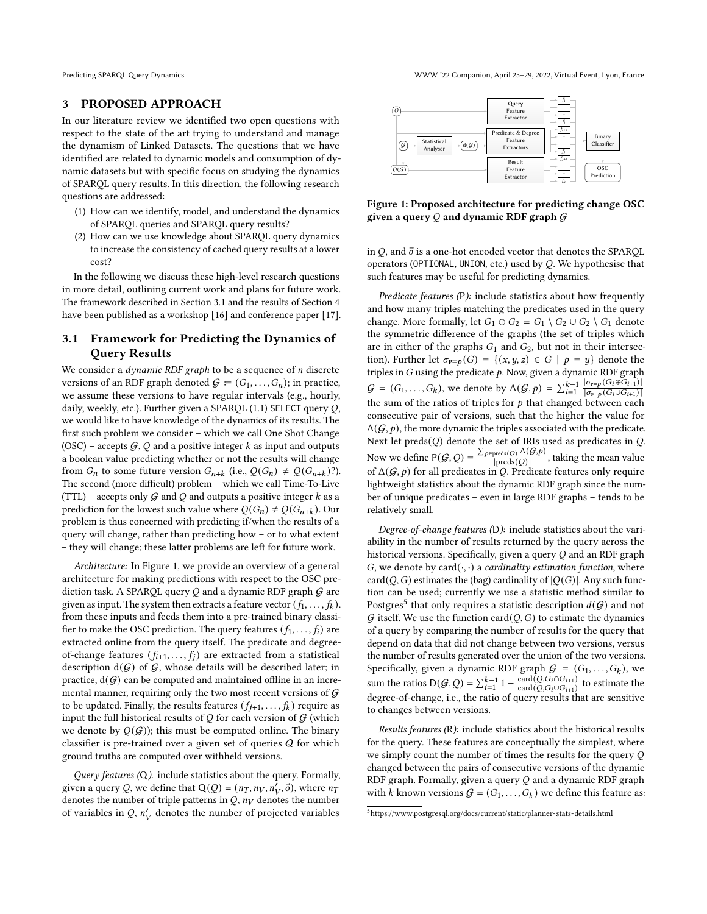Predicting SPARQL Query Dynamics WWW '22 Companion, April 25–29, 2022, Virtual Event, Lyon, France

### 3 PROPOSED APPROACH

In our literature review we identified two open questions with respect to the state of the art trying to understand and manage the dynamism of Linked Datasets. The questions that we have identified are related to dynamic models and consumption of dynamic datasets but with specific focus on studying the dynamics of SPARQL query results. In this direction, the following research questions are addressed:

- (1) How can we identify, model, and understand the dynamics of SPARQL queries and SPARQL query results?
- (2) How can we use knowledge about SPARQL query dynamics to increase the consistency of cached query results at a lower cost?

In the following we discuss these high-level research questions in more detail, outlining current work and plans for future work. The framework described in Section 3.1 and the results of Section 4 have been published as a workshop [\[16\]](#page-4-34) and conference paper [\[17\]](#page-4-35).

## 3.1 Framework for Predicting the Dynamics of Query Results

We consider a *dynamic RDF graph* to be a sequence of  $n$  discrete versions of an RDF graph denoted  $G = (G_1, \ldots, G_n)$ ; in practice, we assume these versions to have regular intervals (e.g., hourly, daily, weekly, etc.). Further given a SPAROL  $(1.1)$  SELECT query  $O$ , we would like to have knowledge of the dynamics of its results. The first such problem we consider – which we call One Shot Change (OSC) – accepts  $G, Q$  and a positive integer  $k$  as input and outputs a boolean value predicting whether or not the results will change from  $G_n$  to some future version  $G_{n+k}$  (i.e.,  $Q(G_n) \neq Q(G_{n+k})$ ?). The second (more difficult) problem – which we call Time-To-Live (TTL) – accepts only  $G$  and  $Q$  and outputs a positive integer  $k$  as a prediction for the lowest such value where  $Q(G_n) \neq Q(G_{n+k})$ . Our problem is thus concerned with predicting if/when the results of a query will change, rather than predicting how – or to what extent – they will change; these latter problems are left for future work.

Architecture: In Figure [1,](#page-2-0) we provide an overview of a general architecture for making predictions with respect to the OSC prediction task. A SPARQL query  $Q$  and a dynamic RDF graph  $G$  are given as input. The system then extracts a feature vector  $(f_1,\ldots,f_k)$ . from these inputs and feeds them into a pre-trained binary classifier to make the OSC prediction. The query features  $(f_1, \ldots, f_i)$  are extracted online from the query itself. The predicate and degreeof-change features  $(f_{i+1},...,f_j)$  are extracted from a statistical description  $d(G)$  of  $G$ , whose details will be described later; in practice,  $d(G)$  can be computed and maintained offline in an incremental manner, requiring only the two most recent versions of  $G$ to be updated. Finally, the results features  $(f_{j+1}, \ldots, f_k)$  require as input the full historical results of  $Q$  for each version of  $G$  (which we denote by  $Q(G)$ ); this must be computed online. The binary classifier is pre-trained over a given set of queries  $Q$  for which ground truths are computed over withheld versions.

Query features (Q). include statistics about the query. Formally, given a query Q, we define that  $Q(Q) = (n_T, n_V, n_V', \vec{\sigma})$ , where  $n_T$ denotes the number of triple patterns in  $Q$ ,  $n_V$  denotes the number of variables in Q,  $n_V'$  denotes the number of projected variables

<span id="page-2-0"></span>

Figure 1: Proposed architecture for predicting change OSC given a query  $Q$  and dynamic RDF graph  $G$ 

in  $Q$ , and  $\vec{o}$  is a one-hot encoded vector that denotes the SPARQL operators (OPTIONAL, UNION, etc.) used by  $Q$ . We hypothesise that such features may be useful for predicting dynamics.

Predicate features (P): include statistics about how frequently and how many triples matching the predicates used in the query change. More formally, let  $G_1 \oplus G_2 = G_1 \setminus G_2 \cup G_2 \setminus G_1$  denote the symmetric difference of the graphs (the set of triples which are in either of the graphs  $G_1$  and  $G_2$ , but not in their intersection). Further let  $\sigma_{P=p}(G) = \{(x, y, z) \in G \mid p = y\}$  denote the triples in  $G$  using the predicate  $p$ . Now, given a dynamic RDF graph  $G = (G_1, ..., G_k)$ , we denote by  $\Delta(G, p) = \sum_{i=1}^{k-1} \frac{|\sigma_{p=p}(G_i \oplus G_{i+1})|}{|\sigma_{p=p}(G_i \cup G_{i+1})|}$  $\sqrt{\sigma_{P=p}(G_i \cup G_{i+1})}$ the sum of the ratios of triples for  $p$  that changed between each consecutive pair of versions, such that the higher the value for  $\Delta(G, p)$ , the more dynamic the triples associated with the predicate. Next let  $\text{preds}(Q)$  denote the set of IRIs used as predicates in  $Q$ . Now we define  $P(G, Q) = \frac{\sum_{p \in \text{preds}(Q)} \Delta(g, p)}{|\text{preds}(Q)|}$ , taking the mean value of  $\Delta(G, p)$  for all predicates in Q. Predicate features only require lightweight statistics about the dynamic RDF graph since the number of unique predicates – even in large RDF graphs – tends to be relatively small.

Degree-of-change features (D): include statistics about the variability in the number of results returned by the query across the historical versions. Specifically, given a query  $Q$  and an RDF graph G, we denote by card( $\cdot, \cdot$ ) a *cardinality estimation function*, where card( $Q$ ,  $G$ ) estimates the (bag) cardinality of  $|Q(G)|$ . Any such function can be used; currently we use a statistic method similar to Postgres $^5$  $^5$  that only requires a statistic description  $d(\mathcal{G})$  and not G itself. We use the function card $(Q, G)$  to estimate the dynamics of a query by comparing the number of results for the query that depend on data that did not change between two versions, versus the number of results generated over the union of the two versions. Specifically, given a dynamic RDF graph  $G = (G_1, \ldots, G_k)$ , we sum the ratios D( $G$ , Q) =  $\sum_{i=1}^{k-1} 1 - \frac{\text{card}(\hat{Q}, G_i \cap G_{i+1})}{\text{card}(\hat{Q}, G_i \cup G_{i+1})}$  $\frac{\text{card}(Q, G_i \cap G_{i+1})}{\text{card}(Q, G_i \cup G_{i+1})}$  to estimate the degree-of-change, i.e., the ratio of query results that are sensitive to changes between versions.

Results features (R): include statistics about the historical results for the query. These features are conceptually the simplest, where we simply count the number of times the results for the query  $Q$ changed between the pairs of consecutive versions of the dynamic RDF graph. Formally, given a query  $Q$  and a dynamic RDF graph with k known versions  $G = (G_1, \ldots, G_k)$  we define this feature as:

<span id="page-2-1"></span><sup>5</sup><https://www.postgresql.org/docs/current/static/planner-stats-details.html>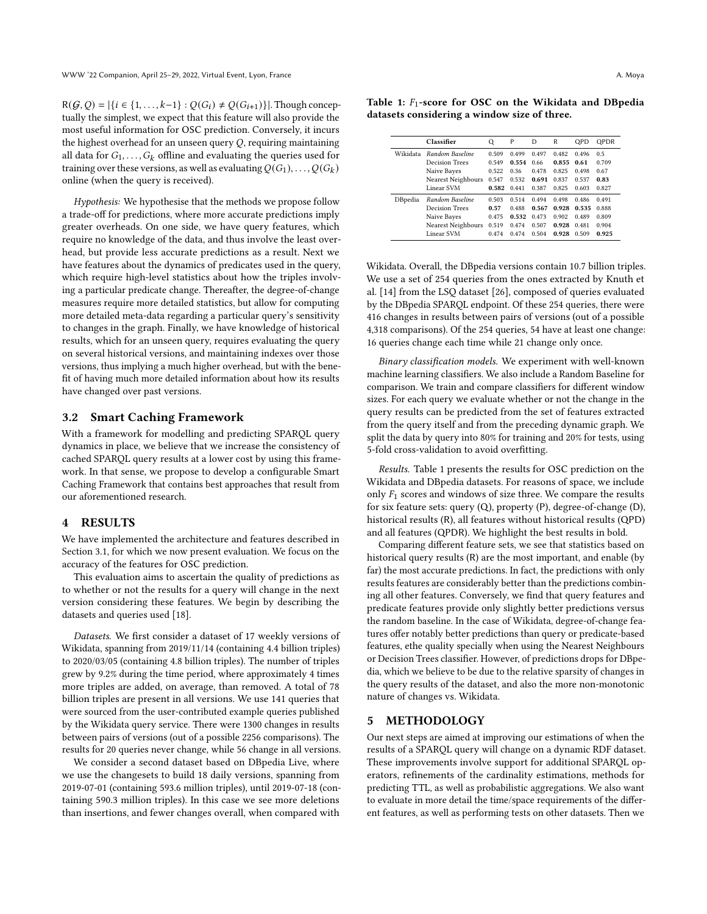$R(G, Q) = |\{i \in \{1, ..., k-1\} : Q(G_i) \neq Q(G_{i+1})\}|$ . Though conceptually the simplest, we expect that this feature will also provide the most useful information for OSC prediction. Conversely, it incurs the highest overhead for an unseen query  $Q$ , requiring maintaining all data for  $G_1, \ldots, G_k$  offline and evaluating the queries used for training over these versions, as well as evaluating  $\overline{{Q}}(G_1), \ldots, \overline{{Q}}(G_k)$ online (when the query is received).

Hypothesis: We hypothesise that the methods we propose follow a trade-off for predictions, where more accurate predictions imply greater overheads. On one side, we have query features, which require no knowledge of the data, and thus involve the least overhead, but provide less accurate predictions as a result. Next we have features about the dynamics of predicates used in the query, which require high-level statistics about how the triples involving a particular predicate change. Thereafter, the degree-of-change measures require more detailed statistics, but allow for computing more detailed meta-data regarding a particular query's sensitivity to changes in the graph. Finally, we have knowledge of historical results, which for an unseen query, requires evaluating the query on several historical versions, and maintaining indexes over those versions, thus implying a much higher overhead, but with the benefit of having much more detailed information about how its results have changed over past versions.

### 3.2 Smart Caching Framework

With a framework for modelling and predicting SPARQL query dynamics in place, we believe that we increase the consistency of cached SPARQL query results at a lower cost by using this framework. In that sense, we propose to develop a configurable Smart Caching Framework that contains best approaches that result from our aforementioned research.

## 4 RESULTS

We have implemented the architecture and features described in Section 3.1, for which we now present evaluation. We focus on the accuracy of the features for OSC prediction.

This evaluation aims to ascertain the quality of predictions as to whether or not the results for a query will change in the next version considering these features. We begin by describing the datasets and queries used [\[18\]](#page-4-36).

Datasets. We first consider a dataset of 17 weekly versions of Wikidata, spanning from 2019/11/14 (containing 4.4 billion triples) to 2020/03/05 (containing 4.8 billion triples). The number of triples grew by 9.2% during the time period, where approximately 4 times more triples are added, on average, than removed. A total of 78 billion triples are present in all versions. We use 141 queries that were sourced from the user-contributed example queries published by the Wikidata query service. There were 1300 changes in results between pairs of versions (out of a possible 2256 comparisons). The results for 20 queries never change, while 56 change in all versions.

We consider a second dataset based on DBpedia Live, where we use the changesets to build 18 daily versions, spanning from 2019-07-01 (containing 593.6 million triples), until 2019-07-18 (containing 590.3 million triples). In this case we see more deletions than insertions, and fewer changes overall, when compared with

<span id="page-3-0"></span>Table 1:  $F_1$ -score for OSC on the Wikidata and DBpedia datasets considering a window size of three.

|          | Classifier         | Q     | P     | D     | R     | <b>OPD</b> | <b>OPDR</b> |
|----------|--------------------|-------|-------|-------|-------|------------|-------------|
| Wikidata | Random Baseline    | 0.509 | 0.499 | 0.497 | 0.482 | 0.496      | 0.5         |
|          | Decision Trees     | 0.549 | 0.554 | 0.66  | 0.855 | 0.61       | 0.709       |
|          | Naive Bayes        | 0.522 | 0.36  | 0.478 | 0.825 | 0.498      | 0.67        |
|          | Nearest Neighbours | 0.547 | 0.532 | 0.691 | 0.837 | 0.537      | 0.83        |
|          | Linear SVM         | 0.582 | 0.441 | 0.387 | 0.825 | 0.603      | 0.827       |
| DBpedia  | Random Baseline    | 0.503 | 0.514 | 0.494 | 0.498 | 0.486      | 0.491       |
|          | Decision Trees     | 0.57  | 0.488 | 0.567 | 0.928 | 0.535      | 0.888       |
|          | Naive Bayes        | 0.475 | 0.532 | 0.473 | 0.902 | 0.489      | 0.809       |
|          | Nearest Neighbours | 0.519 | 0.474 | 0.507 | 0.928 | 0.481      | 0.904       |
|          | Linear SVM         | 0.474 | 0.474 | 0.504 | 0.928 | 0.509      | 0.925       |

Wikidata. Overall, the DBpedia versions contain 10.7 billion triples. We use a set of 254 queries from the ones extracted by Knuth et al. [\[14\]](#page-4-6) from the LSQ dataset [\[26\]](#page-4-37), composed of queries evaluated by the DBpedia SPARQL endpoint. Of these 254 queries, there were 416 changes in results between pairs of versions (out of a possible 4,318 comparisons). Of the 254 queries, 54 have at least one change: 16 queries change each time while 21 change only once.

Binary classification models. We experiment with well-known machine learning classifiers. We also include a Random Baseline for comparison. We train and compare classifiers for different window sizes. For each query we evaluate whether or not the change in the query results can be predicted from the set of features extracted from the query itself and from the preceding dynamic graph. We split the data by query into 80% for training and 20% for tests, using 5-fold cross-validation to avoid overfitting.

Results. Table [1](#page-3-0) presents the results for OSC prediction on the Wikidata and DBpedia datasets. For reasons of space, we include only  $F_1$  scores and windows of size three. We compare the results for six feature sets: query (Q), property (P), degree-of-change (D), historical results (R), all features without historical results (QPD) and all features (QPDR). We highlight the best results in bold.

Comparing different feature sets, we see that statistics based on historical query results (R) are the most important, and enable (by far) the most accurate predictions. In fact, the predictions with only results features are considerably better than the predictions combining all other features. Conversely, we find that query features and predicate features provide only slightly better predictions versus the random baseline. In the case of Wikidata, degree-of-change features offer notably better predictions than query or predicate-based features, ethe quality specially when using the Nearest Neighbours or Decision Trees classifier. However, of predictions drops for DBpedia, which we believe to be due to the relative sparsity of changes in the query results of the dataset, and also the more non-monotonic nature of changes vs. Wikidata.

### 5 METHODOLOGY

Our next steps are aimed at improving our estimations of when the results of a SPARQL query will change on a dynamic RDF dataset. These improvements involve support for additional SPARQL operators, refinements of the cardinality estimations, methods for predicting TTL, as well as probabilistic aggregations. We also want to evaluate in more detail the time/space requirements of the different features, as well as performing tests on other datasets. Then we